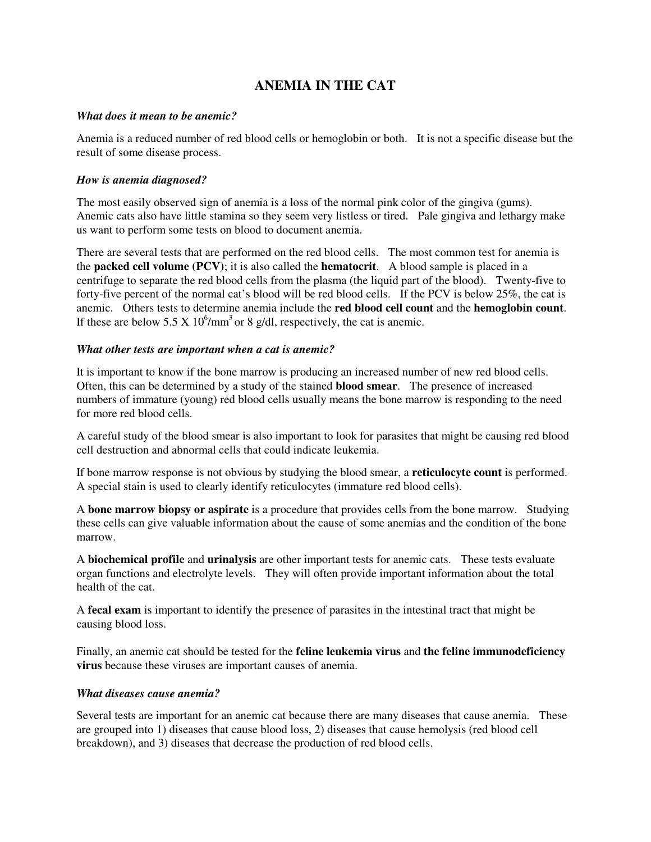# **ANEMIA IN THE CAT**

## *What does it mean to be anemic?*

Anemia is a reduced number of red blood cells or hemoglobin or both. It is not a specific disease but the result of some disease process.

## *How is anemia diagnosed?*

The most easily observed sign of anemia is a loss of the normal pink color of the gingiva (gums). Anemic cats also have little stamina so they seem very listless or tired. Pale gingiva and lethargy make us want to perform some tests on blood to document anemia.

There are several tests that are performed on the red blood cells. The most common test for anemia is the **packed cell volume (PCV)**; it is also called the **hematocrit**. A blood sample is placed in a centrifuge to separate the red blood cells from the plasma (the liquid part of the blood). Twenty-five to forty-five percent of the normal cat's blood will be red blood cells. If the PCV is below 25%, the cat is anemic. Others tests to determine anemia include the **red blood cell count** and the **hemoglobin count**. If these are below 5.5 X  $10^6/\text{mm}^3$  or 8 g/dl, respectively, the cat is anemic.

## *What other tests are important when a cat is anemic?*

It is important to know if the bone marrow is producing an increased number of new red blood cells. Often, this can be determined by a study of the stained **blood smear**. The presence of increased numbers of immature (young) red blood cells usually means the bone marrow is responding to the need for more red blood cells.

A careful study of the blood smear is also important to look for parasites that might be causing red blood cell destruction and abnormal cells that could indicate leukemia.

If bone marrow response is not obvious by studying the blood smear, a **reticulocyte count** is performed. A special stain is used to clearly identify reticulocytes (immature red blood cells).

A **bone marrow biopsy or aspirate** is a procedure that provides cells from the bone marrow. Studying these cells can give valuable information about the cause of some anemias and the condition of the bone marrow.

A **biochemical profile** and **urinalysis** are other important tests for anemic cats. These tests evaluate organ functions and electrolyte levels. They will often provide important information about the total health of the cat.

A **fecal exam** is important to identify the presence of parasites in the intestinal tract that might be causing blood loss.

Finally, an anemic cat should be tested for the **feline leukemia virus** and **the feline immunodeficiency virus** because these viruses are important causes of anemia.

#### *What diseases cause anemia?*

Several tests are important for an anemic cat because there are many diseases that cause anemia. These are grouped into 1) diseases that cause blood loss, 2) diseases that cause hemolysis (red blood cell breakdown), and 3) diseases that decrease the production of red blood cells.